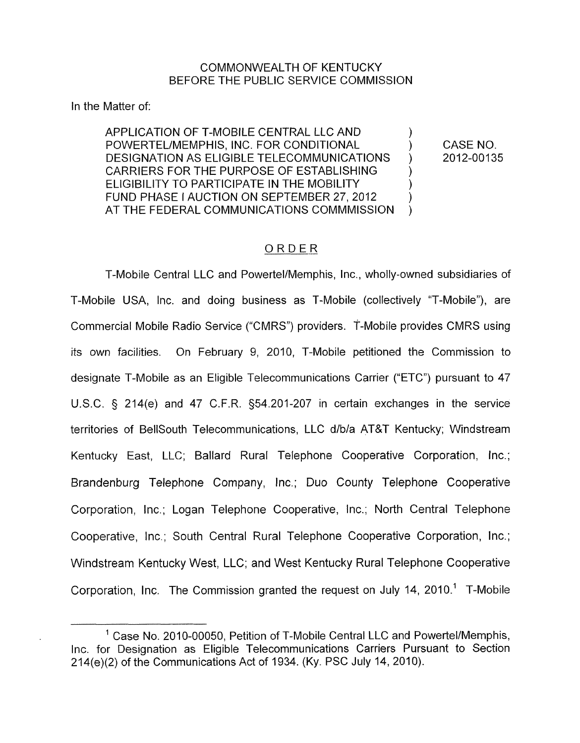## COMMONWEALTH OF KENTUCKY BEFORE THE PUBLIC SERVICE COMMISSION

In the Matter of:

APPLICATION OF T-MOBILE CENTRAL LLC AND POWERTEL/MEMPHIS, INC. FOR CONDITIONAL ) CASE NO. DESIGNATION AS ELIGIBLE TELECOMMUNICATIONS CARRIERS FOR THE PURPOSE OF ESTABLISHING ELIGIBILITY TO PARTICIPATE IN THE MOBILITY FUND PHASE I AUCTION ON SEPTEMBER 27, 2012 AT THE FEDERAL COMMUNICATIONS COMMMISSION  $\sum_{i=1}^n$ )  $\sum_{i=1}^{n}$  $\sum_{i=1}^n$  $\sum_{i=1}^{n}$ )

2012-00135

## ORDER

T-Mobile Central LLC and Powertel/Memphis, Inc., wholly-owned subsidiaries of T-Mobile USA, Inc. and doing business as T-Mobile (collectively "T-Mobile"), are Commercial Mobile Radio Service ("CMRS") providers. T-Mobile provides CMRS using its own facilities. On February 9, 2010, T-Mobile petitioned the Commission to designate T-Mobile as an Eligible Telecommunications Carrier ("ETC") pursuant to 47 U.S.C. § 214(e) and 47 C.F.R. s54.201-207 in certain exchanges in the service territories of BellSouth Telecommunications, LLC d/b/a AT&T Kentucky; Windstream Kentucky East, LLC; Ballard Rural Telephone Cooperative Corporation, Inc.; Brandenburg Telephone Company, Inc.; Duo County Telephone Cooperative Corporation, Inc.; Logan Telephone Cooperative, Inc.; North Central Telephone Cooperative, Inc.; South Central Rural Telephone Cooperative Corporation, Inc.; Windstream Kentucky West, LLC; and West Kentucky Rural Telephone Cooperative Corporation, Inc. The Commission granted the request on July 14, 2010.' T-Mobile

 $1$  Case No. 2010-00050, Petition of T-Mobile Central LLC and Powertel/Memphis, Inc. for Designation as Eligible Telecommunications Carriers Pursuant to Section 214(e)(2) of the Communications Act of 1934. (Ky. PSC July 14, 2010).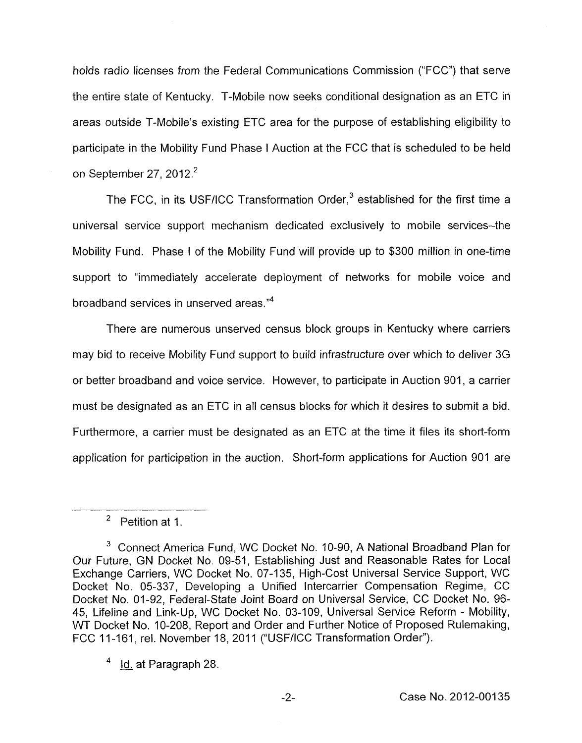holds radio licenses from the Federal Communications Commission ("FCC") that serve the entire state of Kentucky. T-Mobile now seeks conditional designation as an ETC in areas outside T-Mobile's existing ETC area for the purpose of establishing eligibility to participate in the Mobility Fund Phase I Auction at the FCC that is scheduled to be held on September 27, 2012.<sup>2</sup>

The FCC, in its USF/ICC Transformation Order. $3$  established for the first time a universal service support mechanism dedicated exclusively to mobile services-the Mobility Fund. Phase I of the Mobility Fund will provide up to \$300 million in one-time support to "immediately accelerate deployment of networks for mobile voice and broadband services in unserved areas."<sup>4</sup>

There are numerous unserved census block groups in Kentucky where carriers may bid to receive Mobility Fund support to build infrastructure over which to deliver 3G or better broadband and voice service. However, to participate in Auction 901 , a carrier must be designated as an ETC in all census blocks for which it desires to submit a bid. Furthermore, a carrier must be designated as an ETC at the time it files its short-form application for participation in the auction. Short-form applications for Auction 901 are

 $2$  Petition at 1.

<sup>&</sup>lt;sup>3</sup> Connect America Fund, WC Docket No. 10-90, A National Broadband Plan for Our Future, GN Docket No. 09-51, Establishing Just and Reasonable Rates for Local Exchange Carriers, WC Docket No. 07-1 35, High-Cost Universal Service Support, WC Docket No. 05-337, Developing a Unified Intercarrier Compensation Regime, CC Docket No. 01-92, Federal-State Joint Board on Universal Service, CC Docket No. 96- 45, Lifeline and Link-Up, WC Docket No. 03-109, Universal Service Reform - Mobility, WT Docket **No.** 10-208, Report and Order and Further Notice of Proposed Rulemaking, FCC 11-161, rel. November 18, 2011 ("USF/ICC Transformation Order").<br><sup>4</sup> <u>Id.</u> at Paragraph 28.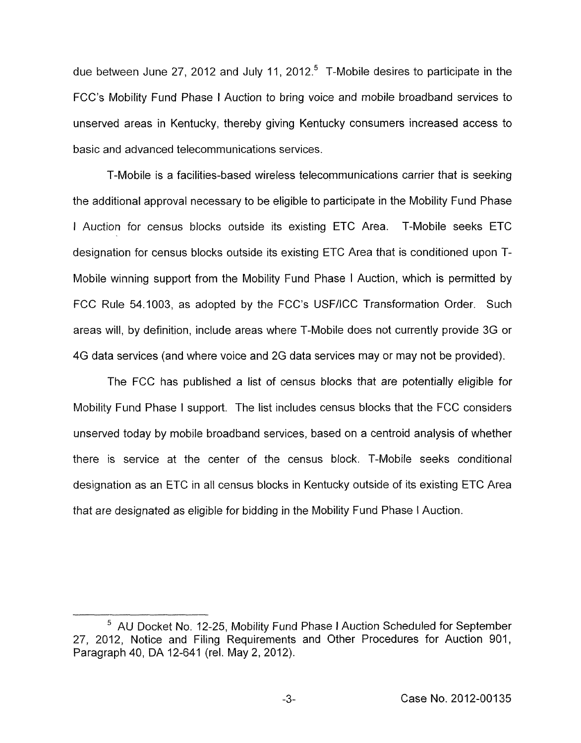due between June 27, 2012 and July 11, 2012.<sup>5</sup> T-Mobile desires to participate in the FCC's Mobility Fund Phase I Auction to bring voice and mobile broadband services to unserved areas in Kentucky, thereby giving Kentucky consumers increased access to basic and advanced telecommunications services.

T-Mobile is a facilities-based wireless telecommunications carrier that is seeking the additional approval necessary to be eligible to participate in the Mobility Fund Phase I Auction for census blocks outside its existing ETC Area. T-Mobile seeks ETC designation for census blocks outside its existing ETC Area that is conditioned upon T-Mobile winning support from the Mobility Fund Phase I Auction, which is permitted by FCC Rule 54.1003, as adopted by the FCC's USF/ICC Transformation Order. Such areas will, by definition, include areas where T-Mobile does not currently provide 3G or 4G data services (and where voice and 2G data services may or may not be provided).

The FCC has published a list of census blocks that are potentially eligible for Mobility Fund Phase I support. The list includes census blocks that the FCC considers unserved today by mobile broadband services, based on a centroid analysis of whether there is service at the center of the census block. T-Mobile seeks conditional designation as an ETC in all census blocks in Kentucky outside of its existing ETC Area that are designated as eligible for bidding in the Mobility Fund Phase I Auction.

AU Docket No. 12-25, Mobility Fund Phase I Auction Scheduled for September 27, 2012, Notice and Filing Requirements and Other Procedures for Auction 901, Paragraph 40, DA 12-641 (rel. May 2, 2012).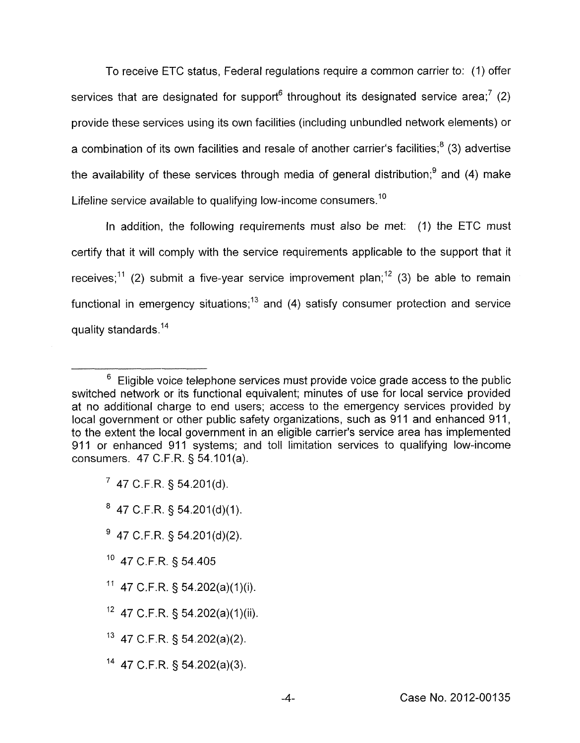To receive ETC status, Federal regulations require a common carrier to: (I) offer services that are designated for support<sup>6</sup> throughout its designated service area;<sup>7</sup> (2) provide these services using its own facilities (including unbundled network elements) or a combination of its own facilities and resale of another carrier's facilities; $<sup>8</sup>$  (3) advertise</sup> the availability of these services through media of general distribution; $<sup>9</sup>$  and (4) make</sup> Lifeline service available to qualifying low-income consumers.<sup>10</sup>

In addition, the following requirements must also be met: (1) the ETC must certify that it will comply with the service requirements applicable to the support that it receives;<sup>11</sup> (2) submit a five-year service improvement plan;<sup>12</sup> (3) be able to remain functional in emergency situations;<sup>13</sup> and (4) satisfy consumer protection and service quality standards.<sup>14</sup>

- $9$  47 C.F.R. § 54.201(d)(2).
- <sup>10</sup> 47 C.F.R. § 54.405
- $11$  47 C.F.R. § 54.202(a)(1)(i).
- $12$  47 C.F.R. § 54.202(a)(1)(ii).
- l3 47 C.F.R. § 54.202(a)(2).
- $14$  47 C.F.R. § 54.202(a)(3).

 $6$  Eligible voice telephone services must provide voice grade access to the public switched network or its functional equivalent; minutes of use for local service provided at no additional charge to end users; access to the emergency services provided by local government or other public safety organizations, such as 911 and enhanced 911, to the extent the local government in an eligible carrier's service area has implemented 911 or enhanced 911 systems; and toll limitation services to qualifying low-income consumers. 47 C.F.R. *5* 54.101(a).

<sup>&#</sup>x27; 47 C.F.R. *5* 54.201(d).

 $8$  47 C.F.R. § 54.201(d)(1).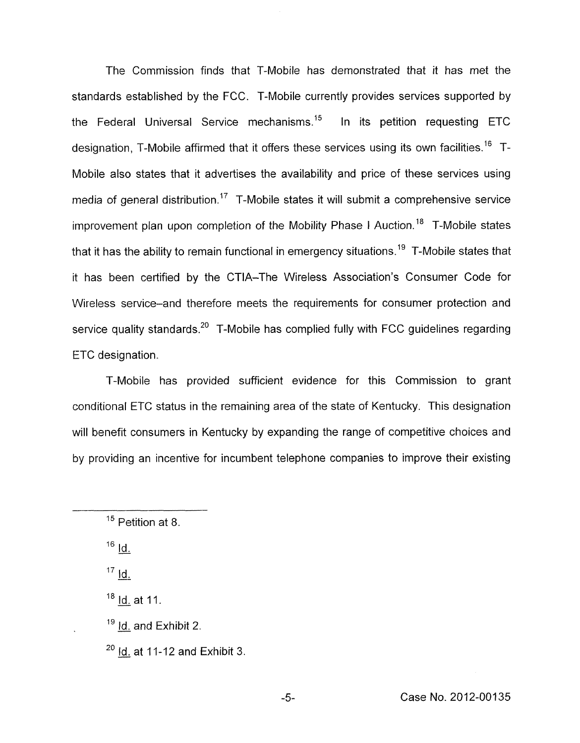The Commission finds that T-Mobile has demonstrated that it has met the standards established by the FCC. T-Mobile currently provides services supported by the Federal Universal Service mechanisms.<sup>15</sup> In its petition requesting ETC designation, T-Mobile affirmed that it offers these services using its own facilities.<sup>16</sup> T-Mobile also states that it advertises the availability and price of these services using media of general distribution.<sup>17</sup> T-Mobile states it will submit a comprehensive service improvement plan upon completion of the Mobility Phase I Auction.<sup>18</sup> T-Mobile states that it has the ability to remain functional in emergency situations.<sup>19</sup> T-Mobile states that it has been certified by the CTIA-The Wireless Association's Consumer Code for Wireless service-and therefore meets the requirements for consumer protection and service quality standards.<sup>20</sup> T-Mobile has complied fully with FCC guidelines regarding ETC designation.

T-Mobile has provided sufficient evidence for this Commission to grant conditional ETC status in the remaining area of the state of Kentucky. This designation will benefit consumers in Kentucky by expanding the range of competitive choices and by providing an incentive for incumbent telephone companies to improve their existing

 $^{16}$   $\frac{Id}{d}$ .

 $18$  Id. at 11.

 $19$  Id. and Exhibit 2.

 $20$  Id. at 11-12 and Exhibit 3.

 $\overline{\phantom{a}1^5}$  Petition at 8. <sup>15</sup> Petitid<br><sup>16</sup> <u>Id.</u>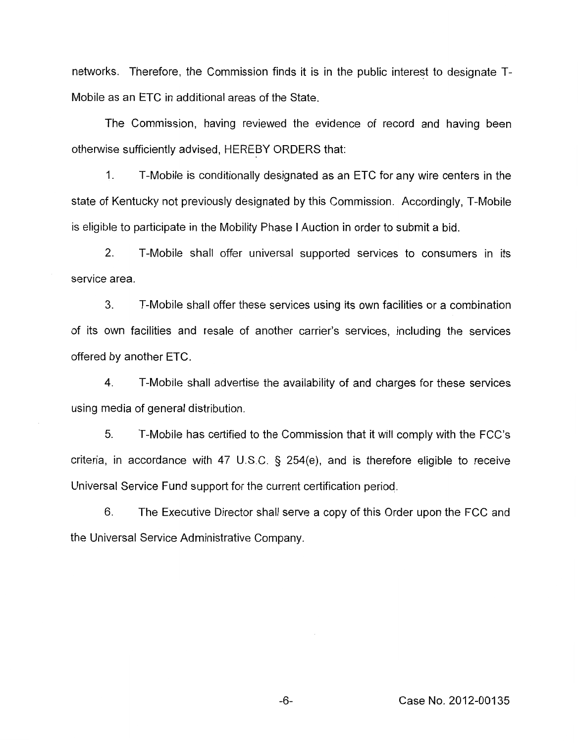networks. Therefore, the Commission finds it is in the public interest to designate T-Mobile as an ETC in additional areas of the State.

The Commission, having reviewed the evidence of record and having been otherwise sufficiently advised, HEREBY ORDERS that:

1. T-Mobile is conditionally designated as an ETC for any wire centers in the state of Kentucky not previously designated by this Commission. Accordingly, T-Mobile is eligible to participate in the Mobility Phase I Auction in order to submit a bid.

2. T-Mobile shall offer universal supported services to consumers in its service area.

**3.** T-Mobile shall offer these services using its own facilities or a combination of its own facilities and resale of another carrier's services, including the services offered by another ETC.

4. T-Mobile shall advertise the availability of and charges for these services using media of general distribution.

*5.* T-Mobile has certified to the Commission that it will comply with the FCC's criteria, in accordance with 47 U.S.C. § 254(e), and is therefore eligible to receive Universal Service Fund support for the current certification period.

6. The Executive Director shall serve a copy of this Order upon the FCC and the Universal Service Administrative Company.

-6- Case No. 201 2-001 *35*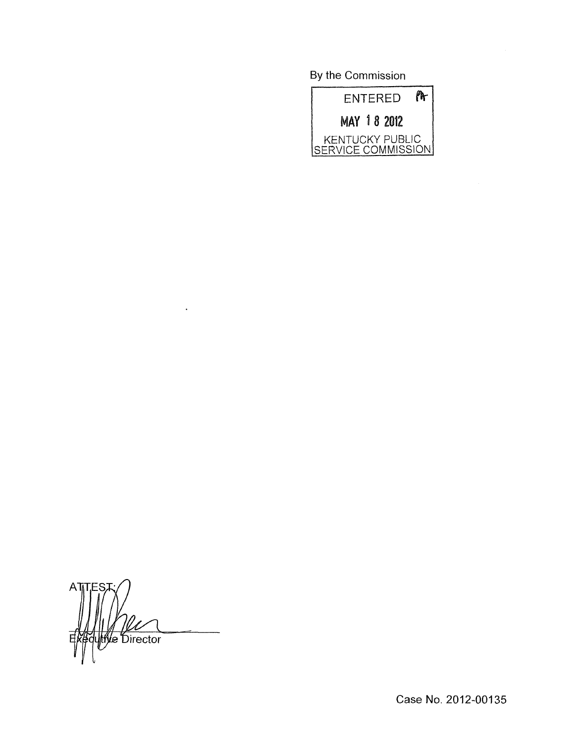By the Commission



A<sub>1</sub> **Me** Director

 $\ddot{\phantom{a}}$ 

Case **No.** 2012-00135